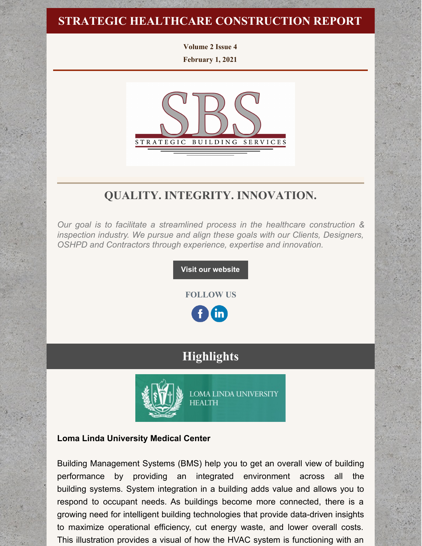### **STRATEGIC HEALTHCARE CONSTRUCTION REPORT**

**Volume 2 Issue 4**

**February 1, 2021**



# **QUALITY. INTEGRITY. INNOVATION.**

*Our goal is to facilitate a streamlined process in the healthcare construction & inspection industry. We pursue and align these goals with our Clients, Designers, OSHPD and Contractors through experience, expertise and innovation.*

**Visit our [website](http://www.strategic-building.com/)**

**FOLLOW US**

**in** 

# **Highlights**



**LOMA LINDA UNIVERSITY HEALTH** 

#### **Loma Linda University Medical Center**

Building Management Systems (BMS) help you to get an overall view of building performance by providing an integrated environment across all the building systems. System integration in a building adds value and allows you to respond to occupant needs. As buildings become more connected, there is a growing need for intelligent building technologies that provide data-driven insights to maximize operational efficiency, cut energy waste, and lower overall costs. This illustration provides a visual of how the HVAC system is functioning with an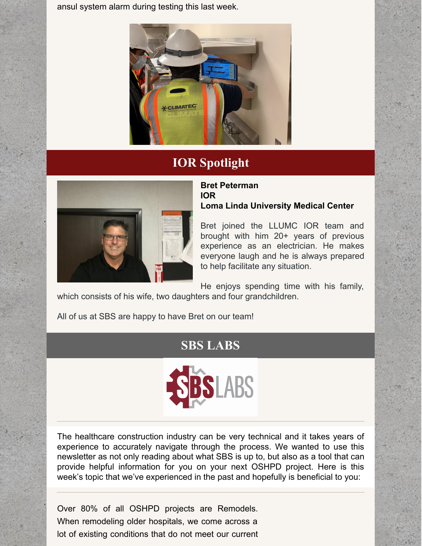ansul system alarm during testing this last week.



# **IOR Spotlight**



#### **Bret Peterman IOR Loma Linda University Medical Center**

Bret joined the LLUMC IOR team and brought with him 20+ years of previous experience as an electrician. He makes everyone laugh and he is always prepared to help facilitate any situation.

He enjoys spending time with his family, which consists of his wife, two daughters and four grandchildren.

All of us at SBS are happy to have Bret on our team!

# **SBS LABS**



The healthcare construction industry can be very technical and it takes years of experience to accurately navigate through the process. We wanted to use this newsletter as not only reading about what SBS is up to, but also as a tool that can provide helpful information for you on your next OSHPD project. Here is this week's topic that we've experienced in the past and hopefully is beneficial to you:

Over 80% of all OSHPD projects are Remodels. When remodeling older hospitals, we come across a lot of existing conditions that do not meet our current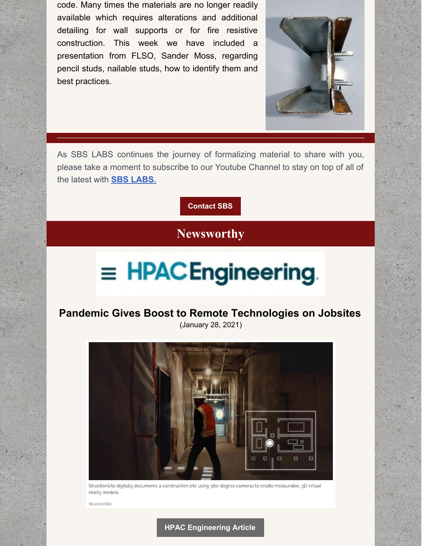code. Many times the materials are no longer readily available which requires alterations and additional detailing for wall supports or for fire resistive construction. This week we have included a presentation from FLSO, Sander Moss, regarding pencil studs, nailable studs, how to identify them and best practices.



As SBS LABS continues the journey of formalizing material to share with you, please take a moment to subscribe to our Youtube Channel to stay on top of all of the latest with **SBS [LABS.](https://www.youtube.com/channel/UCfR7qiqf9X9tzNf1jD-an_Q)**

**[Contact](http://www.strategic-building.com/contacts) SBS**

### **Newsworthy**

# $\equiv$  HPACEngineering.

#### **Pandemic Gives Boost to Remote Technologies on Jobsites** (January 28, 2021)



StructionSite digitally documents a construction site using 360-degree cameras to create measurable, 3D virtual reality models

StructionSite

#### **HPAC [Engineering](https://www.hpac.com/technology/article/21153520/pandemic-gives-boost-to-remote-technologies-on-jobsites) Article**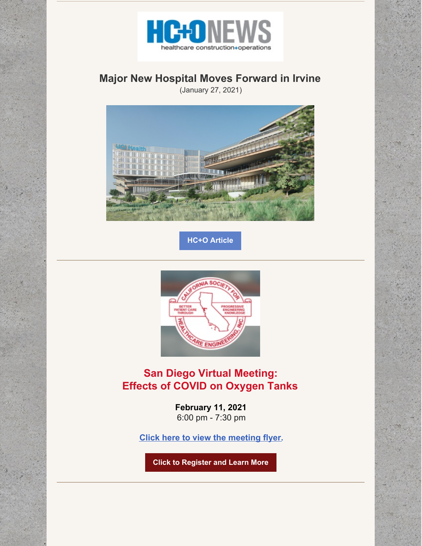

### **Major New Hospital Moves Forward in Irvine**

(January 27, 2021)



**HC+O [Article](http://hconews.com/2021/01/27/major-new-hospital-moves-forward-in-irvine/)**



### **San Diego Virtual Meeting: Effects of COVID on Oxygen Tanks**

**February 11, 2021** 6:00 pm - 7:30 pm

**Click here to view the [meeting](https://www.cshe.org/Common/Uploaded Files/Chapters/San Diego/02.11.21-SD-Flyer.pdf) flyer.**

**Click to [Register](https://www.cshe.org/CSHEMEMBER/Events/Event_display_Zoom.aspx?EventKey=SD202102&WebsiteKey=82af383b-574f-4cf9-9c18-6149fa88cef3) and Learn More**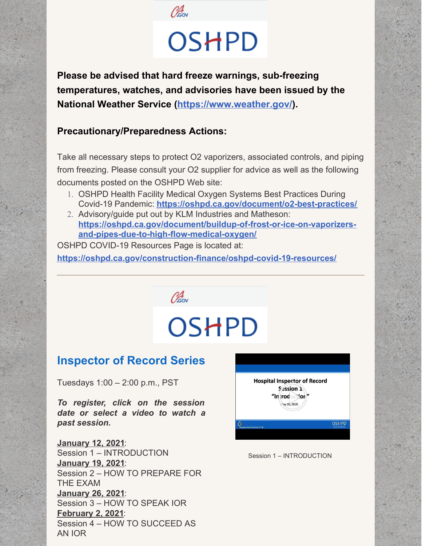

# OSHPD

**Please be advised that hard freeze warnings, sub-freezing temperatures, watches, and advisories have been issued by the National Weather Service [\(https://www.weather.gov/](https://oshpd.us3.list-manage.com/track/click?u=b5eac4ceeea1d878cfffc1696&id=b5abb149a5&e=bf3938caab)).**

#### **Precautionary/Preparedness Actions:**

Take all necessary steps to protect O2 vaporizers, associated controls, and piping from freezing. Please consult your O2 supplier for advice as well as the following documents posted on the OSHPD Web site:

- 1. OSHPD Health Facility Medical Oxygen Systems Best Practices During Covid-19 Pandemic: **[https://oshpd.ca.gov/document/o2-best-practices/](https://oshpd.us3.list-manage.com/track/click?u=b5eac4ceeea1d878cfffc1696&id=9ce85228d6&e=bf3938caab)**
- 2. Advisory/guide put out by KLM Industries and Matheson: **[https://oshpd.ca.gov/document/buildup-of-frost-or-ice-on-vaporizers](https://oshpd.us3.list-manage.com/track/click?u=b5eac4ceeea1d878cfffc1696&id=e080caa3aa&e=bf3938caab)and-pipes-due-to-high-flow-medical-oxygen/**

OSHPD COVID-19 Resources Page is located at:

**[https://oshpd.ca.gov/construction-finance/oshpd-covid-19-resources/](https://oshpd.us3.list-manage.com/track/click?u=b5eac4ceeea1d878cfffc1696&id=229d186d13&e=bf3938caab)**

Obsov

# **OSHPD**

# **Inspector of Record Series**

Tuesdays 1:00 – 2:00 p.m., PST

*To register, click on the session date or select a video to watch a past session.*

**[January](https://attendee.gotowebinar.com/register/3608161067287438349) 12, 2021**: Session 1 – INTRODUCTION **[January](https://attendee.gotowebinar.com/register/6992767919861084941) 19, 2021**: Session 2 – HOW TO PREPARE FOR THE EXAM **[January](https://attendee.gotowebinar.com/register/7528714967215948045) 26, 2021**: Session 3 – HOW TO SPEAK IOR **[February](https://attendee.gotowebinar.com/register/8881594755961799437) 2, 2021**: Session 4 – HOW TO SUCCEED AS AN IOR



#### Session 1 – INTRODUCTION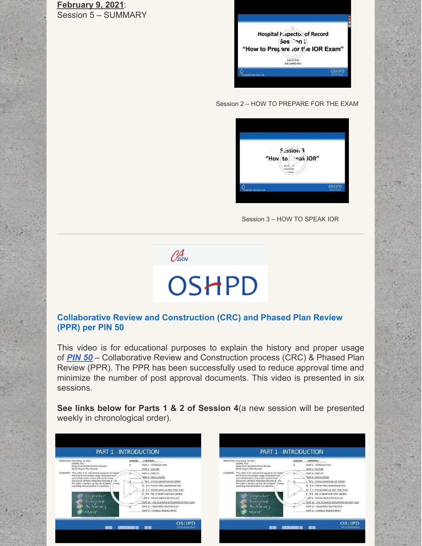**[February](https://attendee.gotowebinar.com/register/6121453333360375309) 9, 2021**: Session 5 – SUMMARY

|                                 | Hospital Vispector of Record      |  |
|---------------------------------|-----------------------------------|--|
|                                 | Ses on                            |  |
|                                 | "How to Prepare for the IOR Exam" |  |
|                                 | June 03, 2020<br>JOE LABRIE, RCO  |  |
| <b>Inspection Services Unit</b> |                                   |  |

Session 2 – HOW TO PREPARE FOR THE EXAM

| Session 3<br>"Hov to eak IOR"<br>June 17<br>Presented by<br>$-Pcore$ |              |
|----------------------------------------------------------------------|--------------|
| <b>Inspection Services Unit</b>                                      | <b>OSHPD</b> |
|                                                                      |              |

Session 3 – HOW TO SPEAK IOR



# OSHPD

#### **Collaborative Review and Construction (CRC) and Phased Plan Review (PPR) per PIN 50**

This video is for educational purposes to explain the history and proper usage of *[PIN](https://oshpd.ca.gov/ml/v1/resources/document?rs:path=/Construction-And-Finance/Documents/Resources/Codes-and-Regulations/Policy-Intent-Notices-PINs/PIN-50-Collaborative-Review-and-Construction-Process-CRC-and-Phased-Plan-Review-PPR.pdf) 50* – Collaborative Review and Construction process (CRC) & Phased Plan Review (PPR). The PPR has been successfully used to reduce approval time and minimize the number of post approval documents. This video is presented in six sessions.

**See links below for Parts 1 & 2 of Session 4**(a new session will be presented weekly in chronological order).

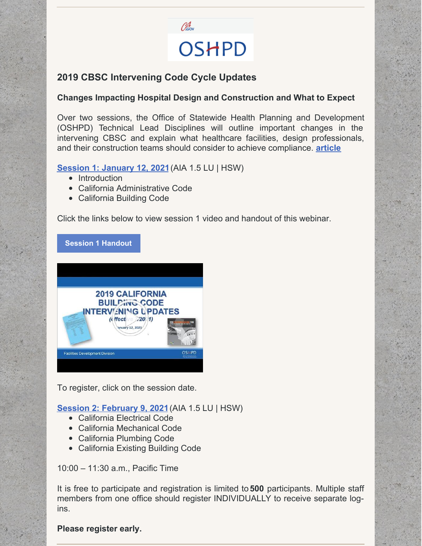

#### **2019 CBSC Intervening Code Cycle Updates**

#### **Changes Impacting Hospital Design and Construction and What to Expect**

Over two sessions, the Office of Statewide Health Planning and Development (OSHPD) Technical Lead Disciplines will outline important changes in the intervening CBSC and explain what healthcare facilities, design professionals, and their construction teams should consider to achieve compliance. **[article](https://www.krwolfe.com/whats-on-the-horizon-in-2021-for-healthcare-construction/)**

#### **Session 1: [January](https://register.gotowebinar.com/register/8451863830849641742) 12, 202[1](https://register.gotowebinar.com/register/8451863830849641742)**(AIA 1.5 LU | HSW)

- Introduction
- California Administrative Code
- California Building Code

Click the links below to view session 1 video and handout of this webinar.

**Session 1 [Handout](https://files.constantcontact.com/7250dab0801/587e788c-9912-48dc-b062-8233efef4ac7.pdf)**



To register, click on the session date.

**Session 2: [February](https://register.gotowebinar.com/register/351030493793057038) 9, 2021**(AIA 1.5 LU | HSW)

- California Electrical Code
- California Mechanical Code
- California Plumbing Code
- California Existing Building Code

10:00 – 11:30 a.m., Pacific Time

It is free to participate and registration is limited to **500** participants. Multiple staff members from one office should register INDIVIDUALLY to receive separate logins.

**Please register early.**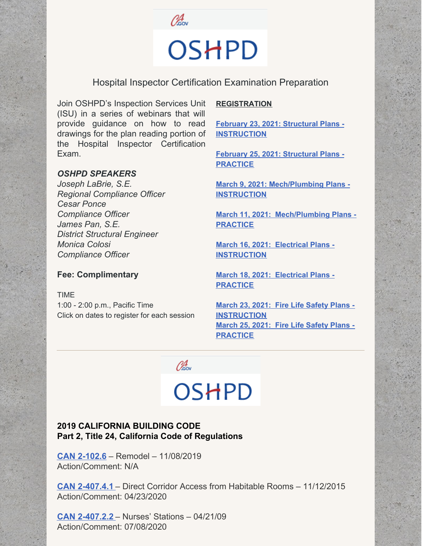

# OSHPD

#### Hospital Inspector Certification Examination Preparation

Join OSHPD's Inspection Services Unit (ISU) in a series of webinars that will provide guidance on how to read drawings for the plan reading portion of the Hospital Inspector Certification Exam.

#### *OSHPD SPEAKERS*

*Joseph LaBrie, S.E. Regional Compliance Officer Cesar Ponce Compliance Officer James Pan, S.E. District Structural Engineer Monica Colosi Compliance Officer*

#### **Fee: Complimentary**

TIME 1:00 - 2:00 p.m., Pacific Time Click on dates to register for each session

#### **REGISTRATION**

**February 23, 2021: Structural Plans - [INSTRUCTION](https://oshpd.us3.list-manage.com/track/click?u=b5eac4ceeea1d878cfffc1696&id=f4d49de2e3&e=bf3938caab)**

**February 25, 2021: Structural Plans - [PRACTICE](https://oshpd.us3.list-manage.com/track/click?u=b5eac4ceeea1d878cfffc1696&id=c2ba004f16&e=bf3938caab)**

**March 9, 2021: [Mech/Plumbing](https://oshpd.us3.list-manage.com/track/click?u=b5eac4ceeea1d878cfffc1696&id=e6038ca4c8&e=bf3938caab) Plans - INSTRUCTION**

**March 11, 2021: [Mech/Plumbing](https://oshpd.us3.list-manage.com/track/click?u=b5eac4ceeea1d878cfffc1696&id=3a16cb720a&e=bf3938caab) Plans - PRACTICE**

**March 16, 2021: Electrical Plans - [INSTRUCTION](https://oshpd.us3.list-manage.com/track/click?u=b5eac4ceeea1d878cfffc1696&id=4836f822b5&e=bf3938caab)**

**March 18, 2021: Electrical Plans - [PRACTICE](https://oshpd.us3.list-manage.com/track/click?u=b5eac4ceeea1d878cfffc1696&id=f4fb793777&e=bf3938caab)**

**March 23, 2021: Fire Life Safety Plans - [INSTRUCTION](https://oshpd.us3.list-manage.com/track/click?u=b5eac4ceeea1d878cfffc1696&id=40680dffc1&e=bf3938caab) March 25, 2021: Fire Life Safety Plans - [PRACTICE](https://oshpd.us3.list-manage.com/track/click?u=b5eac4ceeea1d878cfffc1696&id=032256ecdc&e=bf3938caab)**

 $\mathscr{O}_{\scriptscriptstyle \mathsf{G}\scriptscriptstyle{\mathrm{ov}}}^4$ 

# **OSHPD**

#### **2019 CALIFORNIA BUILDING CODE Part 2, Title 24, California Code of Regulations**

**CAN [2-102.6](https://oshpd.ca.gov/ml/v1/resources/document?rs:path=/Construction-And-Finance/Documents/Resources/Codes-and-Regulations/Code-Application-Notices-CANs/2019/CAN-2019-Building-Code-2-102.6-Remodel.pdf)** – Remodel – 11/08/2019 Action/Comment: N/A

**CAN [2-407.4.1](https://oshpd.ca.gov/ml/v1/resources/document?rs:path=/Construction-And-Finance/Documents/Resources/Codes-and-Regulations/Code-Application-Notices-CANs/2019/CAN-2-407.4.1_Direct-Corridor-Access-from-Habitable-Rooms_Rev-042320_ACC.pdf)** – Direct Corridor Access from Habitable Rooms – 11/12/2015 Action/Comment: 04/23/2020

**CAN [2-407.2.2](https://oshpd.ca.gov/ml/v1/resources/document?rs:path=/Construction-And-Finance/Documents/Resources/Codes-and-Regulations/Code-Application-Notices-CANs/2019/CAN2-407.2.2_Nurses-Stations_A.pdf)** – Nurses' Stations – 04/21/09 Action/Comment: 07/08/2020